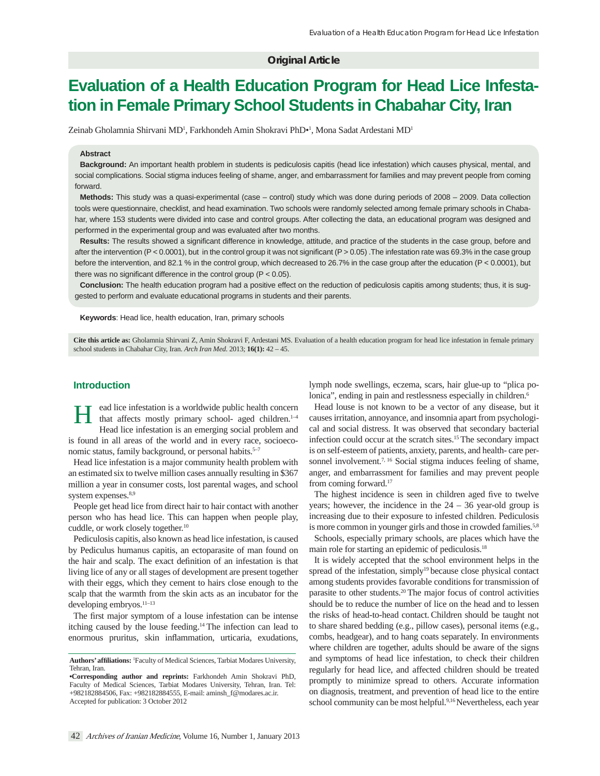# **Original Article**

# **Evaluation of a Health Education Program for Head Lice Infestation in Female Primary School Students in Chabahar City, Iran**

Zeinab Gholamnia Shirvani MD<sup>1</sup>, Farkhondeh Amin Shokravi PhD•<sup>1</sup>, Mona Sadat Ardestani MD<sup>1</sup>

#### **Abstract**

**Background:** An important health problem in students is pediculosis capitis (head lice infestation) which causes physical, mental, and social complications. Social stigma induces feeling of shame, anger, and embarrassment for families and may prevent people from coming forward.

**Methods:** This study was a quasi-experimental (case – control) study which was done during periods of 2008 – 2009. Data collection tools were questionnaire, checklist, and head examination. Two schools were randomly selected among female primary schools in Chabahar, where 153 students were divided into case and control groups. After collecting the data, an educational program was designed and performed in the experimental group and was evaluated after two months.

Results: The results showed a significant difference in knowledge, attitude, and practice of the students in the case group, before and after the intervention (P < 0.0001), but in the control group it was not significant (P > 0.05). The infestation rate was 69.3% in the case group before the intervention, and 82.1 % in the control group, which decreased to 26.7% in the case group after the education (P < 0.0001), but there was no significant difference in the control group ( $P < 0.05$ ).

**Conclusion:** The health education program had a positive effect on the reduction of pediculosis capitis among students; thus, it is suggested to perform and evaluate educational programs in students and their parents.

Keywords: Head lice, health education, Iran, primary schools

**Cite this article as:** Gholamnia Shirvani Z, Amin Shokravi F, Ardestani MS. Evaluation of a health education program for head lice infestation in female primary school students in Chabahar City, Iran. *Arch Iran Med*. 2013; **16(1):** 42 – 45.

## **Introduction**

ead lice infestation is a worldwide public health concern that affects mostly primary school- aged children. $1-4$ Head lice infestation is an emerging social problem and is found in all areas of the world and in every race, socioeconomic status, family background, or personal habits.<sup>5-7</sup>

Head lice infestation is a major community health problem with an estimated six to twelve million cases annually resulting in \$367 million a year in consumer costs, lost parental wages, and school system expenses.<sup>8,9</sup>

People get head lice from direct hair to hair contact with another person who has head lice. This can happen when people play, cuddle, or work closely together.<sup>10</sup>

 Pediculosis capitis, also known as head lice infestation, is caused by Pediculus humanus capitis, an ectoparasite of man found on the hair and scalp. The exact definition of an infestation is that living lice of any or all stages of development are present together with their eggs, which they cement to hairs close enough to the scalp that the warmth from the skin acts as an incubator for the developing embryos.11–13

The first major symptom of a louse infestation can be intense itching caused by the louse feeding.14 The infection can lead to enormous pruritus, skin inflammation, urticaria, exudations, lymph node swellings, eczema, scars, hair glue-up to "plica polonica", ending in pain and restlessness especially in children.<sup>6</sup>

 Head louse is not known to be a vector of any disease, but it causes irritation, annoyance, and insomnia apart from psychological and social distress. It was observed that secondary bacterial infection could occur at the scratch sites.<sup>15</sup> The secondary impact is on self-esteem of patients, anxiety, parents, and health- care personnel involvement.<sup>7, 16</sup> Social stigma induces feeling of shame, anger, and embarrassment for families and may prevent people from coming forward.17

The highest incidence is seen in children aged five to twelve years; however, the incidence in the 24 – 36 year-old group is increasing due to their exposure to infested children. Pediculosis is more common in younger girls and those in crowded families.<sup>5,8</sup>

Schools, especially primary schools, are places which have the main role for starting an epidemic of pediculosis.<sup>18</sup>

It is widely accepted that the school environment helps in the spread of the infestation, simply<sup>19</sup> because close physical contact among students provides favorable conditions for transmission of parasite to other students.20 The major focus of control activities should be to reduce the number of lice on the head and to lessen the risks of head-to-head contact. Children should be taught not to share shared bedding (e.g., pillow cases), personal items (e.g., combs, headgear), and to hang coats separately. In environments where children are together, adults should be aware of the signs and symptoms of head lice infestation, to check their children regularly for head lice, and affected children should be treated promptly to minimize spread to others. Accurate information on diagnosis, treatment, and prevention of head lice to the entire school community can be most helpful.<sup>9,16</sup> Nevertheless, each year

Authors' affiliations: <sup>1</sup>Faculty of Medical Sciences, Tarbiat Modares University, Tehran, Iran.

**<sup>•</sup>Corresponding author and reprints:** Farkhondeh Amin Shokravi PhD, Faculty of Medical Sciences, Tarbiat Modares University, Tehran, Iran. Tel: +982182884506, Fax: +982182884555, E-mail: aminsh\_f@modares.ac.ir. Accepted for publication: 3 October 2012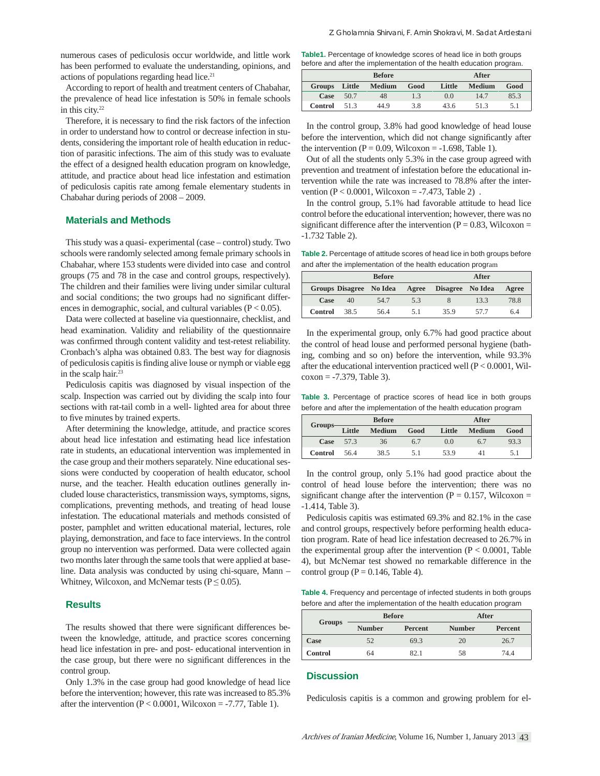numerous cases of pediculosis occur worldwide, and little work has been performed to evaluate the understanding, opinions, and actions of populations regarding head lice. $2<sup>1</sup>$ 

According to report of health and treatment centers of Chabahar, the prevalence of head lice infestation is 50% in female schools in this city.<sup>22</sup>

Therefore, it is necessary to find the risk factors of the infection in order to understand how to control or decrease infection in students, considering the important role of health education in reduction of parasitic infections. The aim of this study was to evaluate the effect of a designed health education program on knowledge, attitude, and practice about head lice infestation and estimation of pediculosis capitis rate among female elementary students in Chabahar during periods of 2008 – 2009.

### **Materials and Methods**

This study was a quasi- experimental (case – control) study. Two schools were randomly selected among female primary schools in Chabahar, where 153 students were divided into case and control groups (75 and 78 in the case and control groups, respectively). The children and their families were living under similar cultural and social conditions; the two groups had no significant differences in demographic, social, and cultural variables  $(P < 0.05)$ .

Data were collected at baseline via questionnaire, checklist, and head examination. Validity and reliability of the questionnaire was confirmed through content validity and test-retest reliability. Cronbach's alpha was obtained 0.83. The best way for diagnosis of pediculosis capitis is finding alive louse or nymph or viable egg in the scalp hair.23

Pediculosis capitis was diagnosed by visual inspection of the scalp. Inspection was carried out by dividing the scalp into four sections with rat-tail comb in a well- lighted area for about three to five minutes by trained experts.

After determining the knowledge, attitude, and practice scores about head lice infestation and estimating head lice infestation rate in students, an educational intervention was implemented in the case group and their mothers separately. Nine educational sessions were conducted by cooperation of health educator, school nurse, and the teacher. Health education outlines generally included louse characteristics, transmission ways, symptoms, signs, complications, preventing methods, and treating of head louse infestation. The educational materials and methods consisted of poster, pamphlet and written educational material, lectures, role playing, demonstration, and face to face interviews. In the control group no intervention was performed. Data were collected again two months later through the same tools that were applied at baseline. Data analysis was conducted by using chi-square, Mann – Whitney, Wilcoxon, and McNemar tests ( $P \le 0.05$ ).

#### **Results**

The results showed that there were significant differences between the knowledge, attitude, and practice scores concerning head lice in festation in pre- and post- educational intervention in the case group, but there were no significant differences in the control group.

Only 1.3% in the case group had good knowledge of head lice before the intervention; however, this rate was increased to 85.3% after the intervention  $(P < 0.0001$ , Wilcoxon = -7.77, Table 1).

Table1. Percentage of knowledge scores of head lice in both groups before and after the implementation of the health education program.

|                | <b>Before</b> |               |      | After  |               |      |
|----------------|---------------|---------------|------|--------|---------------|------|
| Groups         | Little        | <b>Medium</b> | Good | Little | <b>Medium</b> | Good |
| Case           | 50.7          | 48            | 13   | 0.0    | 14.7          | 85.3 |
| <b>Control</b> | 51.3          | 44.9          | 3.8  | 43.6   | 51.3          | 5.1  |

In the control group, 3.8% had good knowledge of head louse before the intervention, which did not change significantly after the intervention ( $P = 0.09$ , Wilcoxon = -1.698, Table 1).

Out of all the students only 5.3% in the case group agreed with prevention and treatment of infestation before the educational intervention while the rate was increased to 78.8% after the intervention  $(P < 0.0001$ , Wilcoxon =  $-7.473$ , Table 2).

In the control group, 5.1% had favorable attitude to head lice control before the educational intervention; however, there was no significant difference after the intervention ( $P = 0.83$ , Wilcoxon = -1.732 Table 2).

**Table 2.** Percentage of attitude scores of head lice in both groups before and after the implementation of the health education program

| <b>Before</b> |                         |      | After |                  |      |       |
|---------------|-------------------------|------|-------|------------------|------|-------|
|               | Groups Disagree No Idea |      | Agree | Disagree No Idea |      | Agree |
| Case          | 40                      | 54.7 | 5.3   |                  | 13.3 | 78.8  |
| Control       | 38.5                    | 56.4 | 51    | 35.9             | 577  | 6.4   |

In the experimental group, only 6.7% had good practice about the control of head louse and performed personal hygiene (bathing, combing and so on) before the intervention, while 93.3% after the educational intervention practiced well (P < 0.0001, Wil $coson = -7.379$ , Table 3).

**Table 3.** Percentage of practice scores of head lice in both groups before and after the implementation of the health education program

| Groups- | <b>Before</b> |               |      | After  |               |      |
|---------|---------------|---------------|------|--------|---------------|------|
|         | Little        | <b>Medium</b> | Good | Little | <b>Medium</b> | Good |
| Case    | 573           | 36            | 6.7  | 0.0    | 6.7           | 93.3 |
| Control | 56.4          | 38.5          | 5.1  | 53.9   | 41            | 5.1  |

In the control group, only 5.1% had good practice about the control of head louse before the intervention; there was no significant change after the intervention ( $P = 0.157$ , Wilcoxon = -1.414, Table 3).

Pediculosis capitis was estimated 69.3% and 82.1% in the case and control groups, respectively before performing health education program. Rate of head lice infestation decreased to 26.7% in the experimental group after the intervention  $(P < 0.0001$ , Table 4), but McNemar test showed no remarkable difference in the control group ( $P = 0.146$ , Table 4).

**Table 4.** Frequency and percentage of infected students in both groups before and after the implementation of the health education program

| Groups         |               | <b>Before</b> | After         |         |  |
|----------------|---------------|---------------|---------------|---------|--|
|                | <b>Number</b> | Percent       | <b>Number</b> | Percent |  |
| Case           | 52            | 69.3          | 20            | 26.7    |  |
| <b>Control</b> | 64            | 82.1          | 58            | 74 4    |  |

# **Discussion**

Pediculosis capitis is a common and growing problem for el-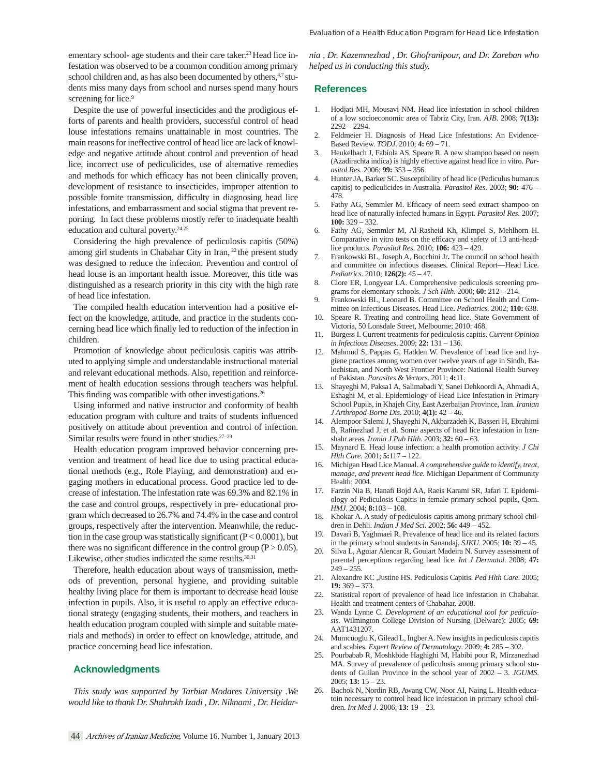ementary school- age students and their care taker.<sup>23</sup> Head lice infestation was observed to be a common condition among primary school children and, as has also been documented by others,  $4.7$  students miss many days from school and nurses spend many hours screening for lice.<sup>9</sup>

Despite the use of powerful insecticides and the prodigious efforts of parents and health providers, successful control of head louse infestations remains unattainable in most countries. The main reasons for ineffective control of head lice are lack of knowledge and negative attitude about control and prevention of head lice, incorrect use of pediculicides, use of alternative remedies and methods for which efficacy has not been clinically proven, development of resistance to insecticides, improper attention to possible fomite transmission, difficulty in diagnosing head lice infestations, and embarrassment and social stigma that prevent reporting. In fact these problems mostly refer to inadequate health education and cultural poverty.<sup>24,25</sup>

Considering the high prevalence of pediculosis capitis (50%) among girl students in Chabahar City in Iran, <sup>22</sup> the present study was designed to reduce the infection. Prevention and control of head louse is an important health issue. Moreover, this title was distinguished as a research priority in this city with the high rate of head lice infestation.

The compiled health education intervention had a positive effect on the knowledge, attitude, and practice in the students concerning head lice which finally led to reduction of the infection in children.

Promotion of knowledge about pediculosis capitis was attributed to applying simple and understandable instructional material and relevant educational methods. Also, repetition and reinforcement of health education sessions through teachers was helpful. This finding was compatible with other investigations.<sup>26</sup>

Using informed and native instructor and conformity of health education program with culture and traits of students influenced positively on attitude about prevention and control of infection. Similar results were found in other studies.27–29

Health education program improved behavior concerning prevention and treatment of head lice due to using practical educational methods (e.g., Role Playing, and demonstration) and engaging mothers in educational process. Good practice led to decrease of infestation. The infestation rate was 69.3% and 82.1% in the case and control groups, respectively in pre- educational program which decreased to 26.7% and 74.4% in the case and control groups, respectively after the intervention. Meanwhile, the reduction in the case group was statistically significant  $(P < 0.0001)$ , but there was no significant difference in the control group ( $P > 0.05$ ). Likewise, other studies indicated the same results. $30,31$ 

Therefore, health education about ways of transmission, methods of prevention, personal hygiene, and providing suitable healthy living place for them is important to decrease head louse infection in pupils. Also, it is useful to apply an effective educational strategy (engaging students, their mothers, and teachers in health education program coupled with simple and suitable materials and methods) in order to effect on knowledge, attitude, and practice concerning head lice infestation.

#### **Acknowledgments**

*This study was supported by Tarbiat Modares University .We would like to thank Dr. Shahrokh Izadi , Dr. Niknami , Dr. Heidar-*

*nia , Dr. Kazemnezhad , Dr. Ghofranipour, and Dr. Zareban who helped us in conducting this study.*

#### **References**

- 1. Hodjati MH, Mousavi NM. Head lice infestation in school children of a low socioeconomic area of Tabriz City, Iran. *AJB*. 2008; **7(13):** 2292 – 2294.
- 2. Feldmeier H. Diagnosis of Head Lice Infestations: An Evidence-Based Review. *TODJ*. 2010; **4:** 69 – 71.
- 3. Heukelbach J, Fabíola AS, Speare R. A new shampoo based on neem (Azadirachta indica) is highly effective against head lice in vitro. *Parasitol Res*. 2006; **99:** 353 – 356.
- 4. Hunter JA, Barker SC. Susceptibility of head lice (Pediculus humanus capitis) to pediculicides in Australia. *Parasitol Res*. 2003; **90:** 476 – 478.
- 5. Fathy AG, Semmler M. Efficacy of neem seed extract shampoo on head lice of naturally infected humans in Egypt. *Parasitol Res*. 2007; **100:** 329 – 332.
- 6. Fathy AG, Semmler M, Al-Rasheid Kh, Klimpel S, Mehlhorn H. Comparative in vitro tests on the efficacy and safety of 13 anti-headlice products. *Parasitol Res*. 2010; **106:** 423 – 429.
- 7. Frankowski BL, Joseph A, Bocchini Jr**.** The council on school health and committee on infectious diseases. Clinical Report—Head Lice. *Pediatrics.* 2010; **126(2):** 45 – 47.
- 8. Clore ER, Longyear LA. Comprehensive pediculosis screening programs for elementary schools. *J Sch Hlth*. 2000; **60:** 212 – 214.
- 9. Frankowski BL, Leonard B. Committee on School Health and Committee on Infectious Diseases**.** Head Lice**.** *Pediatrics.* 2002; **110:** 638.
- 10. Speare R. Treating and controlling head lice. State Government of Victoria, 50 Lonsdale Street, Melbourne; 2010: 468.
- 11. Burgess I. Current treatments for pediculosis capitis. *Current Opinion in Infectious Diseases*. 2009; **22:** 131 – 136.
- 12. Mahmud S, Pappas G, Hadden W. Prevalence of head lice and hygiene practices among women over twelve years of age in Sindh, Balochistan, and North West Frontier Province: National Health Survey of Pakistan. *Parasites & Vectors*. 2011; **4:**11.
- 13. Shayeghi M, Paksa1 A, Salimabadi Y, Sanei Dehkoordi A, Ahmadi A, Eshaghi M, et al. Epidemiology of Head Lice Infestation in Primary School Pupils, in Khajeh City, East Azerbaijan Province, Iran. *Iranian J Arthropod-Borne Dis*. 2010; **4(1):** 42 – 46.
- 14. Alempoor Salemi J, Shayeghi N, Akbarzadeh K, Basseri H, Ebrahimi B, Rafinezhad J, et al. Some aspects of head lice infestation in Iranshahr areas. *Irania J Pub Hlth*. 2003; **32:** 60 – 63.
- 15. Maynard E. Head louse infection: a health promotion activity. *J Chi Hlth Care*. 2001; **5:**117 – 122.
- 16. Michigan Head Lice Manual. *A comprehensive guide to identify, treat, manage, and prevent head lice.* Michigan Department of Community Health; 2004.
- 17. Farzin Nia B, Hanafi Bojd AA, Raeis Karami SR, Jafari T. Epidemiology of Pediculosis Capitis in female primary school pupils, Qom. *HMJ*. 2004; **8:**103 – 108.
- 18. Khokar A. A study of pediculosis capitis among primary school children in Dehli. *Indian J Med Sci.* 2002; **56:** 449 – 452.
- 19. Davari B, Yaghmaei R. Prevalence of head lice and its related factors in the primary school students in Sanandaj. *SJKU*. 2005; **10:** 39 – 45.
- 20. Silva L, Aguiar Alencar R, Goulart Madeira N. Survey assessment of parental perceptions regarding head lice. *Int J Dermatol*. 2008; **47:**  $249 - 255$ .
- 21. Alexandre KC ,Justine HS. Pediculosis Capitis. *Ped Hlth Care*. 2005; **19:** 369 – 373.
- Statistical report of prevalence of head lice infestation in Chabahar. Health and treatment centers of Chabahar. 2008.
- 23. Wanda Lynne C. *Development of an educational tool for pediculosis.* Wilmington College Division of Nursing (Delware): 2005; **69:** AAT1431207.
- 24. Mumcuoglu K, Gilead L, Ingber A. New insights in pediculosis capitis and scabies. *Expert Review of Dermatology*. 2009; **4:** 285 – 302.
- 25. Pourbabab R, Moshkbide Haghighi M, Habibi pour R, Mirzanezhad MA. Survey of prevalence of pediculosis among primary school students of Guilan Province in the school year of 2002 – 3. *JGUMS*. 2005; **13:** 15 – 23.
- 26. Bachok N, Nordin RB, Awang CW, Noor AI, Naing L. Health educatoin necessary to control head lice infestation in primary school children. *Int Med J*. 2006; **13:** 19 – 23.